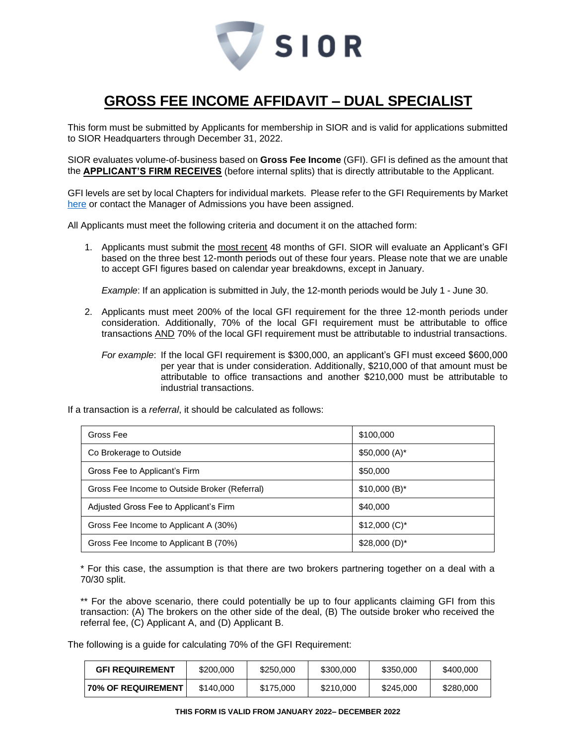

# **GROSS FEE INCOME AFFIDAVIT – DUAL SPECIALIST**

This form must be submitted by Applicants for membership in SIOR and is valid for applications submitted to SIOR Headquarters through December 31, 2022.

SIOR evaluates volume-of-business based on **Gross Fee Income** (GFI). GFI is defined as the amount that the **APPLICANT'S FIRM RECEIVES** (before internal splits) that is directly attributable to the Applicant.

GFI levels are set by local Chapters for individual markets. Please refer to the GFI Requirements by Market [here](http://www.sior.com/docs/default-source/membership-docs/sior-gfi-requirements.pdf) or contact the Manager of Admissions you have been assigned.

All Applicants must meet the following criteria and document it on the attached form:

1. Applicants must submit the most recent 48 months of GFI. SIOR will evaluate an Applicant's GFI based on the three best 12-month periods out of these four years. Please note that we are unable to accept GFI figures based on calendar year breakdowns, except in January.

*Example*: If an application is submitted in July, the 12-month periods would be July 1 - June 30.

- 2. Applicants must meet 200% of the local GFI requirement for the three 12-month periods under consideration. Additionally, 70% of the local GFI requirement must be attributable to office transactions AND 70% of the local GFI requirement must be attributable to industrial transactions.
	- *For example*: If the local GFI requirement is \$300,000, an applicant's GFI must exceed \$600,000 per year that is under consideration. Additionally, \$210,000 of that amount must be attributable to office transactions and another \$210,000 must be attributable to industrial transactions.

If a transaction is a *referral*, it should be calculated as follows:

| Gross Fee                                     | \$100,000      |
|-----------------------------------------------|----------------|
| Co Brokerage to Outside                       | $$50,000(A)^*$ |
| Gross Fee to Applicant's Firm                 | \$50,000       |
| Gross Fee Income to Outside Broker (Referral) | $$10,000(B)^*$ |
| Adjusted Gross Fee to Applicant's Firm        | \$40,000       |
| Gross Fee Income to Applicant A (30%)         | $$12,000$ (C)* |
| Gross Fee Income to Applicant B (70%)         | $$28,000(D)^*$ |

\* For this case, the assumption is that there are two brokers partnering together on a deal with a 70/30 split.

\*\* For the above scenario, there could potentially be up to four applicants claiming GFI from this transaction: (A) The brokers on the other side of the deal, (B) The outside broker who received the referral fee, (C) Applicant A, and (D) Applicant B.

The following is a guide for calculating 70% of the GFI Requirement:

| <b>GFI REQUIREMENT</b>    | \$200,000 | \$250,000 | \$300,000 | \$350,000 | \$400,000 |
|---------------------------|-----------|-----------|-----------|-----------|-----------|
| <b>70% OF REQUIREMENT</b> | \$140,000 | \$175,000 | \$210,000 | \$245,000 | \$280,000 |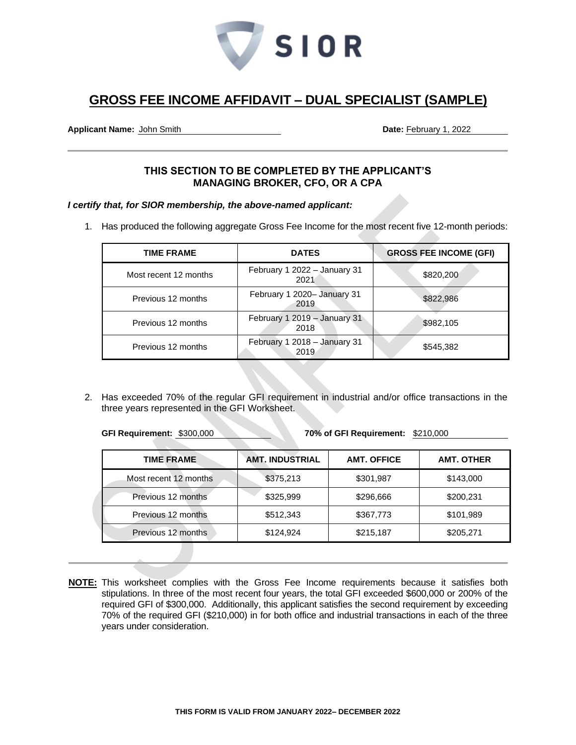

## **GROSS FEE INCOME AFFIDAVIT – DUAL SPECIALIST (SAMPLE)**

**Applicant Name:** John Smith **Date:** February 1, 2022

### **THIS SECTION TO BE COMPLETED BY THE APPLICANT'S MANAGING BROKER, CFO, OR A CPA**

*I certify that, for SIOR membership, the above-named applicant:*

1. Has produced the following aggregate Gross Fee Income for the most recent five 12-month periods:

| <b>TIME FRAME</b>     | <b>DATES</b>                         | <b>GROSS FEE INCOME (GFI)</b> |
|-----------------------|--------------------------------------|-------------------------------|
| Most recent 12 months | February 1 2022 - January 31<br>2021 | \$820,200                     |
| Previous 12 months    | February 1 2020- January 31<br>2019  | \$822,986                     |
| Previous 12 months    | February 1 2019 - January 31<br>2018 | \$982,105                     |
| Previous 12 months    | February 1 2018 - January 31<br>2019 | \$545,382                     |

2. Has exceeded 70% of the regular GFI requirement in industrial and/or office transactions in the three years represented in the GFI Worksheet.

**GFI Requirement:** \$300,000 **70% of GFI Requirement:** \$210,000

| <b>TIME FRAME</b>     | <b>AMT. INDUSTRIAL</b> | <b>AMT. OFFICE</b> | <b>AMT. OTHER</b> |
|-----------------------|------------------------|--------------------|-------------------|
| Most recent 12 months | \$375,213              | \$301,987          | \$143,000         |
| Previous 12 months    | \$325,999              | \$296,666          | \$200,231         |
| Previous 12 months    | \$512,343              | \$367,773          | \$101,989         |
| Previous 12 months    | \$124,924              | \$215,187          | \$205,271         |

**NOTE:** This worksheet complies with the Gross Fee Income requirements because it satisfies both stipulations. In three of the most recent four years, the total GFI exceeded \$600,000 or 200% of the required GFI of \$300,000. Additionally, this applicant satisfies the second requirement by exceeding 70% of the required GFI (\$210,000) in for both office and industrial transactions in each of the three years under consideration.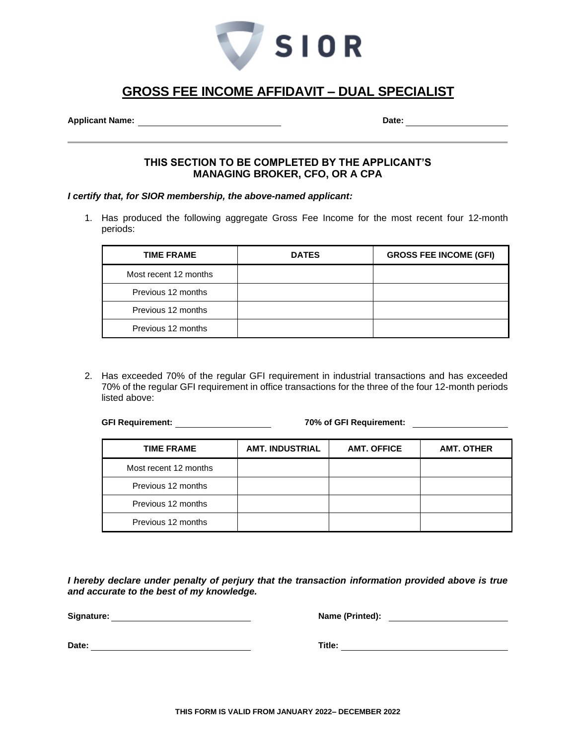

# **GROSS FEE INCOME AFFIDAVIT – DUAL SPECIALIST**

**Applicant Name: Date:** 

#### **THIS SECTION TO BE COMPLETED BY THE APPLICANT'S MANAGING BROKER, CFO, OR A CPA**

*I certify that, for SIOR membership, the above-named applicant:*

1. Has produced the following aggregate Gross Fee Income for the most recent four 12-month periods:

| <b>TIME FRAME</b>     | <b>DATES</b> | <b>GROSS FEE INCOME (GFI)</b> |
|-----------------------|--------------|-------------------------------|
| Most recent 12 months |              |                               |
| Previous 12 months    |              |                               |
| Previous 12 months    |              |                               |
| Previous 12 months    |              |                               |

2. Has exceeded 70% of the regular GFI requirement in industrial transactions and has exceeded 70% of the regular GFI requirement in office transactions for the three of the four 12-month periods listed above:

**GFI Requirement: 70% of GFI Requirement:** 

| <b>TIME FRAME</b>     | <b>AMT. INDUSTRIAL</b> | <b>AMT. OFFICE</b> | <b>AMT. OTHER</b> |
|-----------------------|------------------------|--------------------|-------------------|
| Most recent 12 months |                        |                    |                   |
| Previous 12 months    |                        |                    |                   |
| Previous 12 months    |                        |                    |                   |
| Previous 12 months    |                        |                    |                   |

*I hereby declare under penalty of perjury that the transaction information provided above is true and accurate to the best of my knowledge.*

**Signature: Name (Printed):** 

**Date: Date: CONSIDERENT PROPERTY ASSESSED ASSOCIATES Tribe: <b>Title: Title: Title: CONSIDERENT PROPERTY Title: CONSIDERENT PROPERTY Title: CONSIDERENT PROPERTY CONSIDERED PROPERTY CONSIDERED PROPERTY**